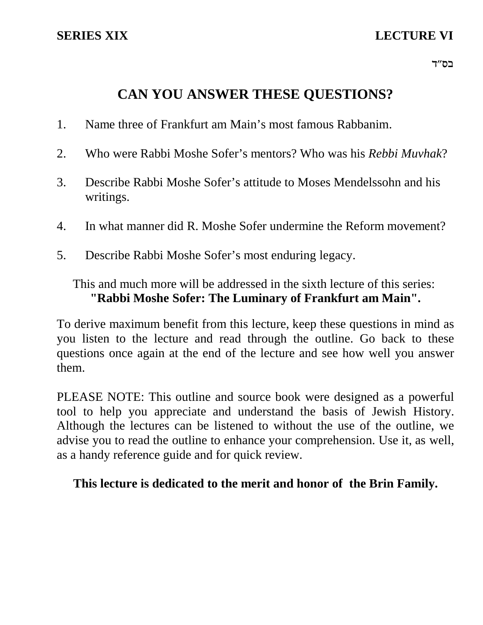# **CAN YOU ANSWER THESE QUESTIONS?**

- 1. Name three of Frankfurt am Main's most famous Rabbanim.
- 2. Who were Rabbi Moshe Sofer's mentors? Who was his *Rebbi Muvhak*?
- 3. Describe Rabbi Moshe Sofer's attitude to Moses Mendelssohn and his writings.
- 4. In what manner did R. Moshe Sofer undermine the Reform movement?
- 5. Describe Rabbi Moshe Sofer's most enduring legacy.

## This and much more will be addressed in the sixth lecture of this series: **"Rabbi Moshe Sofer: The Luminary of Frankfurt am Main".**

To derive maximum benefit from this lecture, keep these questions in mind as you listen to the lecture and read through the outline. Go back to these questions once again at the end of the lecture and see how well you answer them.

PLEASE NOTE: This outline and source book were designed as a powerful tool to help you appreciate and understand the basis of Jewish History. Although the lectures can be listened to without the use of the outline, we advise you to read the outline to enhance your comprehension. Use it, as well, as a handy reference guide and for quick review.

## **This lecture is dedicated to the merit and honor of the Brin Family.**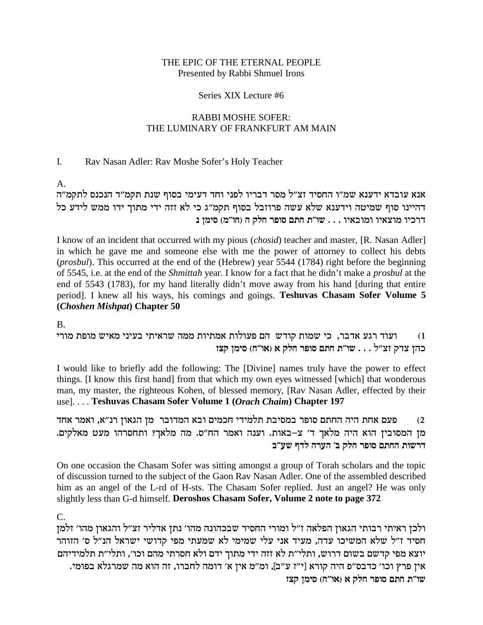### THE EPIC OF THE ETERNAL PEOPLE Presented by Rabbi Shmuel Irons

#### Series XIX Lecture #6

### RABBI MOSHE SOFER: THE LUMINARY OF FRANKFURT AM MAIN

### I. Rav Nasan Adler: Rav Moshe Sofer's Holy Teacher

A.

...<br>אנא עובדא ידענא שמ״ו החסיד זצ״ל מסר דבריו לפני וחד דעימי בסוף שנת תקמ״ד הנכנס לתקמ״ה דהיינו סוף שמיטה וידענא שלא עשה פרוזבל בסוף תקמ"ג כי לא זזה ידי מתוך ידו ממש לידע כל **p oniq (n"eg) d wlg xteq mzg z"ey** . . . ei`aene ei`ven eikxc

I know of an incident that occurred with my pious (*chosid*) teacher and master, [R. Nasan Adler] in which he gave me and someone else with me the power of attorney to collect his debts (*prosbul*). This occurred at the end of the (Hebrew) year 5544 (1784) right before the beginning of 5545, i.e. at the end of the *Shmittah* year. I know for a fact that he didn't make a *prosbul* at the end of 5543 (1783), for my hand literally didn't move away from his hand [during that entire period]. I knew all his ways, his comings and goings. **Teshuvas Chasam Sofer Volume 5 (***Choshen Mishpat***) Chapter 50**

B.

i) ועוד רגע אדבר, כי שמות קודש הם פעולות אמתיות ממה שראיתי בעיני מאיש מופת מורי **fvw oniq (g"e`) ` wlg xteq mzg z"ey** . . . l"vf wcv odk

I would like to briefly add the following: The [Divine] names truly have the power to effect things. [I know this first hand] from that which my own eyes witnessed [which] that wonderous man, my master, the righteous Kohen, of blessed memory, [Rav Nasan Adler, effected by their use]. . . . **Teshuvas Chasam Sofer Volume 1 (***Orach Chaim***) Chapter 197**

פעם אחת היה החתם סופר במסיבת תלמידי חכמים ובא המדובר מן הגאון רנ״א, ואמר אחד  $\,$ מן המסובין הוא היה מלאך ד' צ-באות. וענה ואמר הח"ס. מה מלאך? ותחסרהו מעט מאלקים. **a"ry scl dxrd 'a wlg xteq mzgd zeyxc**

On one occasion the Chasam Sofer was sitting amongst a group of Torah scholars and the topic of discussion turned to the subject of the Gaon Rav Nasan Adler. One of the assembled described him as an angel of the L-rd of H-sts. The Chasam Sofer replied. Just an angel? He was only slightly less than G-d himself. **Deroshos Chasam Sofer, Volume 2 note to page 372**

C.

ולכן ראיתי רבותי הגאון הפלאה ז"ל ומורי החסיד שבכהונה מהו' נתן אדליר זצ"ל והגאון מהו' זלמן חסיד ז"ל שלא המשיכו עדה, מעיד אני עלי שמימי לא שמעתי מפי קדושי ישראל הנ"ל ס' הזוהר יוצא מפי קדשם בשום דרוש, ותלי"ת לא זזה ידי מתוך ידם ולא חסרתי מהם וכו', ותלי"ת תלמידיהם .ineta אין פרץ וכו' כדבס"פ היה קורא [י"ז ע"ב], ומ"מ אין א' דומה לחברו, זה הוא מה שמרגלא בפומי **fvw oniq (g"e`) ` wlg xteq mzg z"ey**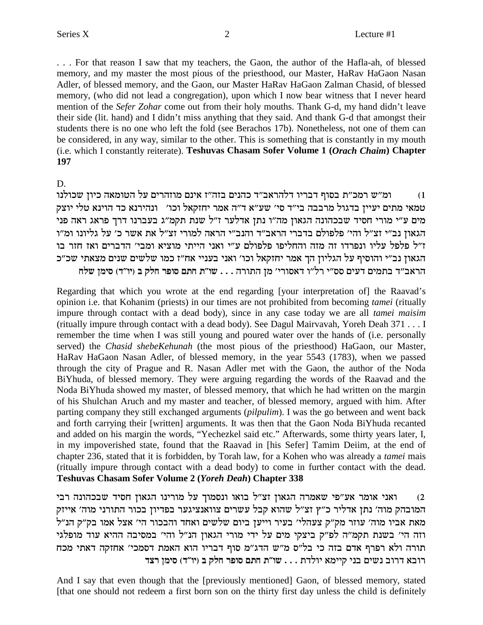... For that reason I saw that my teachers, the Gaon, the author of the Hafla-ah, of blessed memory, and my master the most pious of the priesthood, our Master, HaRav HaGaon Nasan Adler, of blessed memory, and the Gaon, our Master HaRav HaGaon Zalman Chasid, of blessed memory, (who did not lead a congregation), upon which I now bear witness that I never heard mention of the Sefer Zohar come out from their holy mouths. Thank G-d, my hand didn't leave their side (lit. hand) and I didn't miss anything that they said. And thank G-d that amongst their students there is no one who left the fold (see Berachos 17b). Nonetheless, not one of them can be considered, in any way, similar to the other. This is something that is constantly in my mouth (i.e. which I constantly reiterate). Teshuvas Chasam Sofer Volume 1 (Orach Chaim) Chapter 197

D.

ומ"ש רמכ"ת בסוף דבריו דלהראב"ד כהנים בזה"ז אינם מוזהרים על הטומאה כיון שכולנו  $(1)$ טמאי מתים יעיין בדגול מרבבה בי"ד סי' שע"א ד"ה אמר יחזקאל וכו' | ונהירנא כד הוינא טלי יוצק מים ע"י מורי חסיד שבכהונה הגאון מה"ו נתן אדלער ז"ל שנת תקמ"ג בעברנו דרך פראג ראה פני הגאון נב״י זצ״ל והי׳ פלפולם בדברי הראב״ד והנב״י הראה למורי זצ״ל את אשר כ׳ על גליונו ומ״ו ז"ל פלפל עליו ונפרדו זה מזה והחליפו פלפולם ע"י ואני הייתי מוציא ומבי' הדברים ואז חזר בו הגאון נב״י והוסיף על הגליון הך אמר יחזקאל וכו׳ ואני בעניי אח״ז כמו שלשים שנים מצאתי שכ״כ הראב״ד בתמים דעים סס״י רל״ו דאסורי׳ מן התורה . . . שו״ת חתם סופר חלק ב (יו״ד) סימן שלח

Regarding that which you wrote at the end regarding [your interpretation of] the Raavad's opinion i.e. that Kohanim (priests) in our times are not prohibited from becoming *tamei* (ritually impure through contact with a dead body), since in any case today we are all *tamei maisim* (ritually impure through contact with a dead body). See Dagul Mairvavah, Yoreh Deah 371 . . . I remember the time when I was still young and poured water over the hands of (i.e. personally served) the Chasid shebeKehunah (the most pious of the priesthood) HaGaon, our Master, HaRav HaGaon Nasan Adler, of blessed memory, in the year 5543 (1783), when we passed through the city of Prague and R. Nasan Adler met with the Gaon, the author of the Noda BiYhuda, of blessed memory. They were arguing regarding the words of the Raavad and the Noda BiYhuda showed my master, of blessed memory, that which he had written on the margin of his Shulchan Aruch and my master and teacher, of blessed memory, argued with him. After parting company they still exchanged arguments (*pilpulim*). I was the go between and went back and forth carrying their [written] arguments. It was then that the Gaon Noda BiYhuda recanted and added on his margin the words, "Yechezkel said etc." Afterwards, some thirty years later, I, in my impoverished state, found that the Raavad in [his Sefer] Tamim Deiim, at the end of chapter 236, stated that it is forbidden, by Torah law, for a Kohen who was already a *tamei* mais (ritually impure through contact with a dead body) to come in further contact with the dead. Teshuvas Chasam Sofer Volume 2 (Yoreh Deah) Chapter 338

ואני אומר אע"פי שאמרה הגאון זצ"ל בואו ונסמוך על מורינו הגאון חסיד שבכהונה רבי  $(2)$ המובהק מוה׳ נתן אדליר כ״ץ זצ״ל שהוא קבל עשרים צוואנציגער בפדיון בכור התורני מוה׳ אייזק מאת אביו מוה׳ עוזר מק״ק צעהלי׳ בעיר וייען ביום שלשים ואחד והבכור הי׳ אצל אמו בק״ק הנ״ל וזה הי' בשנת תקמ״ה לפ״ק ביצקי מים על ידי מורי הגאון הנ״ל והי׳ במסיבה ההיא עוד מופלגי תורה ולא רפרף אדם בזה כי בל"ס מ"ש הדג"מ סוף דבריו הוא האמת דסמכי' אחזקה דאתי מכח רובא דרוב נשים בני קיימא יולדת . . . שו"ת חתם סופר חלק ב (יו"ד) סימן רצד

And I say that even though that the [previously mentioned] Gaon, of blessed memory, stated [that one should not redeem a first born son on the thirty first day unless the child is definitely

 $\overline{2}$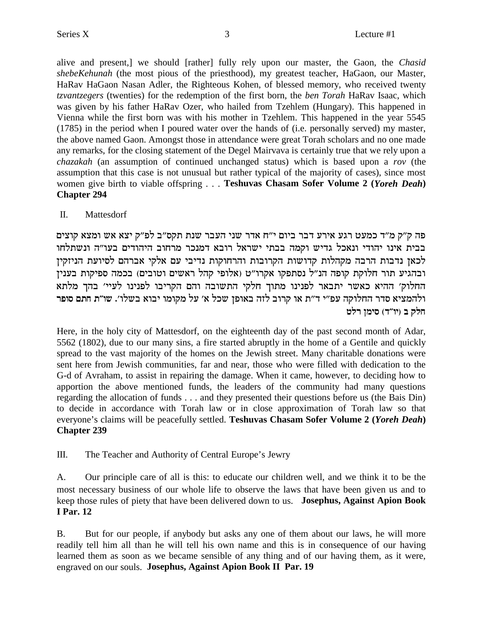alive and present,] we should [rather] fully rely upon our master, the Gaon, the Chasid shebeKehunah (the most pious of the priesthood), my greatest teacher, HaGaon, our Master, HaRav HaGaon Nasan Adler, the Righteous Kohen, of blessed memory, who received twenty *tzvantzegers* (twenties) for the redemption of the first born, the *ben Torah* HaRav Isaac, which was given by his father HaRav Ozer, who hailed from Tzehlem (Hungary). This happened in Vienna while the first born was with his mother in Tzehlem. This happened in the year 5545 (1785) in the period when I poured water over the hands of (i.e. personally served) my master, the above named Gaon. Amongst those in attendance were great Torah scholars and no one made any remarks, for the closing statement of the Degel Mairyava is certainly true that we rely upon a *chazakah* (an assumption of continued unchanged status) which is based upon a rov (the assumption that this case is not unusual but rather typical of the majority of cases), since most women give birth to viable offspring . . . Teshuvas Chasam Sofer Volume 2 (Yoreh Deah) **Chapter 294** 

#### $\Pi$ . Mattesdorf

פה ק״ק מ״ד כמעט רגע אירע דבר ביום י״ח אדר שני העבר שנת תקס״ב לפ״ק יצא אש ומצא קוצים בבית אינו יהודי ונאכל גדיש וקמה בבתי ישראל רובא דמנכר מרחוב היהודים בעו"ה ונשתלחו לכאן נדבות הרבה מקהלות קדושות הקרובות והרחוקות נדיבי עם אלקי אברהם לסיועת הניזקין ובהגיע תור חלוקת קופה הנ"ל נסתפקו אקרו"ט (אלופי קהל ראשים וטובים) בכמה ספיקות בענין החלוק' ההיא כאשר יתבאר לפנינו מתוך חלקי התשובה והם הקריבו לפנינו לעיי' בהך מלתא ולהמציא סדר החלוקה עפ"י ד"ת או קרוב לזה באופן שכל א' על מקומו יבוא בשלו'. שו"ת חתם סופר חלק ב (יו"ד) סימן רלט

Here, in the holy city of Mattesdorf, on the eighteenth day of the past second month of Adar, 5562 (1802), due to our many sins, a fire started abruptly in the home of a Gentile and quickly spread to the vast majority of the homes on the Jewish street. Many charitable donations were sent here from Jewish communities, far and near, those who were filled with dedication to the G-d of Avraham, to assist in repairing the damage. When it came, however, to deciding how to apportion the above mentioned funds, the leaders of the community had many questions regarding the allocation of funds . . . and they presented their questions before us (the Bais Din) to decide in accordance with Torah law or in close approximation of Torah law so that everyone's claims will be peacefully settled. Teshuvas Chasam Sofer Volume 2 (Yoreh Deah) **Chapter 239** 

 $III.$ The Teacher and Authority of Central Europe's Jewry

A. Our principle care of all is this: to educate our children well, and we think it to be the most necessary business of our whole life to observe the laws that have been given us and to keep those rules of piety that have been delivered down to us. Josephus, Against Apion Book **I** Par. 12

 $B<sub>1</sub>$ But for our people, if anybody but asks any one of them about our laws, he will more readily tell him all than he will tell his own name and this is in consequence of our having learned them as soon as we became sensible of any thing and of our having them, as it were, engraved on our souls. Josephus, Against Apion Book II Par. 19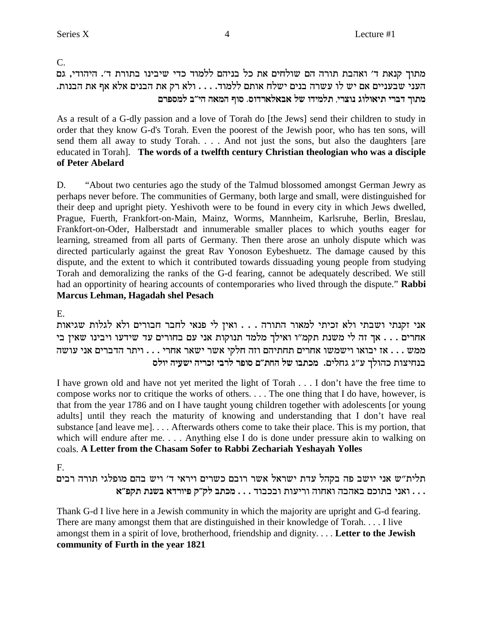$C_{\cdot}$ 

## מתוך קנאת ד׳ ואהבת תורה הם שולחים את כל בניהם ללמוד כדי שיבינו בתורת ד׳. היהודי, גם העני שבעניים אם יש לו עשרה בנים ישלח אותם ללמוד. . . . ולא רק את הבנים אלא אף את הבנות. מתוך דברי תיאולוג נוצרי, תלמידו של אבאלארדוס. סוף המאה הי״ב למספרם

As a result of a G-dly passion and a love of Torah do [the Jews] send their children to study in order that they know G-d's Torah. Even the poorest of the Jewish poor, who has ten sons, will send them all away to study Torah. . . . And not just the sons, but also the daughters [are educated in Torah]. The words of a twelfth century Christian theologian who was a disciple of Peter Abelard

"About two centuries ago the study of the Talmud blossomed amongst German Jewry as D. perhaps never before. The communities of Germany, both large and small, were distinguished for their deep and upright piety. Yeshivoth were to be found in every city in which Jews dwelled, Prague, Fuerth, Frankfort-on-Main, Mainz, Worms, Mannheim, Karlsruhe, Berlin, Breslau, Frankfort-on-Oder, Halberstadt and innumerable smaller places to which youths eager for learning, streamed from all parts of Germany. Then there arose an unholy dispute which was directed particularly against the great Rav Yonoson Eybeshuetz. The damage caused by this dispute, and the extent to which it contributed towards dissuading young people from studying Torah and demoralizing the ranks of the G-d fearing, cannot be adequately described. We still had an opportinity of hearing accounts of contemporaries who lived through the dispute." Rabbi Marcus Lehman, Hagadah shel Pesach

E.

אני זקנתי ושבתי ולא זכיתי למאור התורה . . . ואין לי פנאי לחבר חבורים ולא לגלות שגיאות אחרים . . . אך זה לי משנת תקמ"ו ואילך מלמד תנוקות אני עם בחורים עד שידעו ויבינו שאין בי ממש . . . אז יבואו וישמשו אחרים תחתיהם וזה חלקי אשר ישאר אחרי . . . ויתר הדברים אני עושה בנחיצות כהולך ע"ג גחלים. מכתבו של החת"ם סופר לרבי זכריה ישעיה יולס

I have grown old and have not yet merited the light of Torah . . . I don't have the free time to compose works nor to critique the works of others.... The one thing that I do have, however, is that from the year 1786 and on I have taught young children together with adolescents [or young adults] until they reach the maturity of knowing and understanding that I don't have real substance [and leave me].... Afterwards others come to take their place. This is my portion, that which will endure after me.... Anything else I do is done under pressure akin to walking on coals. A Letter from the Chasam Sofer to Rabbi Zechariah Yeshayah Yolles

F.

תלית"ש אני יושב פה בקהל עדת ישראל אשר רובם כשרים ויראי ד' ויש בהם מופלגי תורה רבים . . . ואני בתוכם באהבה ואחוה וריעות ובכבוד . . . מכתב לק״ק פיורדא בשנת תקפ״א .

Thank G-d I live here in a Jewish community in which the majority are upright and G-d fearing. There are many amongst them that are distinguished in their knowledge of Torah.... I live amongst them in a spirit of love, brotherhood, friendship and dignity.... Letter to the Jewish community of Furth in the year 1821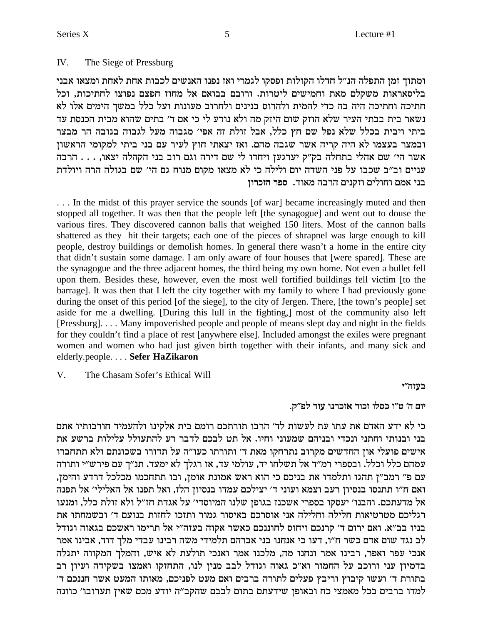#### $IV.$ The Siege of Pressburg

ומתוך זמן התפלה הנ״ל חדלו הקולות ופסקו לגמרי ואז נפנו האנשים לכבות אחת לאחת ומצאו אבני בליסאראות משקלם מאת וחמישים ליטרות. ורובם בבואם אל מחוז חפצם נפוצו לחתיכות, וכל חתיכה וחתיכה היה בה כדי להמית ולהרוס בנינים ולחרוב מעונות ועל כלל במשך הימים אלו לא נשאר בית בבתי העיר שלא הוזק שום היזק מה ולא נודע לי כי אם ד׳ בתים שהוא מבית הכנסת עד ביתי ויבית בכלל שלא נפל שם חץ כלל, אבל זולת זה אפי׳ מגבוה מעל לגבוה בגובה הר מבצר ובמצר בעצמו לא היה קריה אשר שגבה מהם. ואז יצאתי חוץ לעיר עם בני ביתי למקומי הראשון אשר הי' שם אהלי בתחלה בק"ק יערגען ויחדו לי שם דירה וגם רוב בני הקהלה יצאו, . . . הרבה עניים וב״ב שכבו על פני השדה יום ולילה כי לא מצאו מקום מנוח גם הי׳ שם בגולה הרה ויולדת בני אמם וחולים וזקנים הרבה מאוד. ספר הזכרון

... In the midst of this prayer service the sounds [of war] became increasingly muted and then stopped all together. It was then that the people left [the synagogue] and went out to douse the various fires. They discovered cannon balls that weighed 150 liters. Most of the cannon balls shattered as they hit their targets; each one of the pieces of shrapnel was large enough to kill people, destroy buildings or demolish homes. In general there wasn't a home in the entire city that didn't sustain some damage. I am only aware of four houses that [were spared]. These are the synagogue and the three adjacent homes, the third being my own home. Not even a bullet fell upon them. Besides these, however, even the most well fortified buildings fell victim [to the barrage]. It was then that I left the city together with my family to where I had previously gone during the onset of this period [of the siege], to the city of Jergen. There, [the town's people] set aside for me a dwelling. [During this lull in the fighting,] most of the community also left [Pressburg].... Many impoverished people and people of means slept day and night in the fields for they couldn't find a place of rest [anywhere else]. Included amongst the exiles were pregnant women and women who had just given birth together with their infants, and many sick and elderly.people.... Sefer HaZikaron

 $V_{\cdot}$ The Chasam Sofer's Ethical Will

בעזה״י

יום ה' ט"ו כסלו זכור אזכרנו עוד לפ"ק.

כי לא ידע האדם את עתו עת לעשות לד׳ הרבו תורתכם רומם בית אלקינו ולהעמיד חורבותיו אתם בני ובנותי וחתני ונכדי ובניהם שמעוני וחיו. אל תט לבכם לדבר רע להתעולל עלילות ברשע את אישים פועלי און החדשים מקרוב נתרחקו מאת ד׳ ותורתו כעו״ה על תדורו בשכונתם ולא תתחברו עמהם כלל וכלל. ובספרי רמ״ד אל תשלחו יד, עולמי עד, אז רגלך לא ימעד. תנ״ך עם פירש״י ותורה עם פ" רמב"ן תהגו ותלמדו את בניכם כי הוא ראש אמונת אומן, ובו תתחכמו מכלכל דרדע והימן, ואם ח"ו תתנסו בנסיון רעב וצמא ועוני ד' יצילכם עמדו בנסיון הלז, ואל תפנו אל האלילי' אל תפנה אל מדעתכם. והבנו׳ יעסקו בספרי אשכנז בגופן שלנו המיוסדי׳ על אגדת חז״ל ולא זולת כלל, ומנעו רגליכם מטרטיאות חלילה וחלילה אני אוסרכם באיסור גמור ותזכו לחזות בנועם ד׳ ובשמחתו את בניו בב"א. ואם ירום ד' קרנכם ויחוס לחוננכם כאשר אקוה בעזה"י אל תרימו ראשכם בגאוה וגודל לב נגד שום אדם כשר ח"ו, דעו כי אנחנו בני אברהם תלמידי משה רבינו עבדי מלך דוד, אבינו אמר אנכי עפר ואפר, רבינו אמר ונחנו מה, מלכנו אמר ואנכי תולעת לא איש, והמלך המקווה יתגלה בדמיון עני ורוכב על החמור וא"כ גאוה וגודל לבב מנין לנו, התחזקו ואמצו בשקידה ועיון רב בתורת ד' ועשו קיבוץ וריבץ פעלים לתורה ברבים ואם מעט לפניכם, מאותו המעט אשר חננכם ד' למדו ברבים בכל מאמצי כח ובאופז שידעתם בתום לבבם שהקב״ה יודע מכם שאיז תערובו׳ כוונה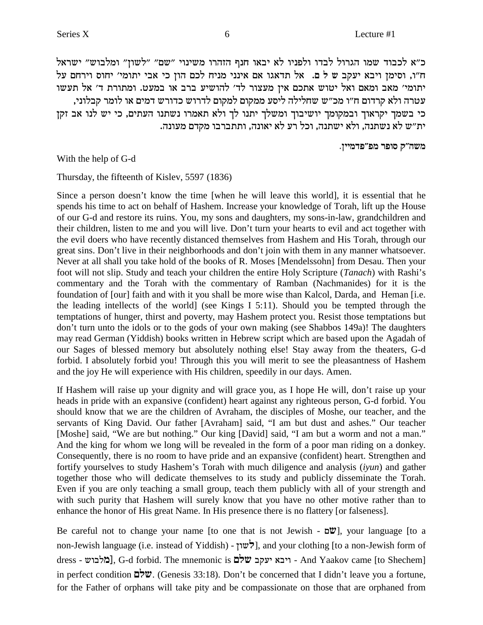כ״א לכבוד שמו הגרול לבדו ולפניו לא יבאו חנף הזהרו משינוי "שם" "לשון" ומלבוש" ישראל ח"ו, וסימן ויבא יעקב ש ל ם. אל תדאגו אם אינני מניח לכם הון כי אבי יתומי' יחוס וירחם על יתומי' מאב ומאם ואל יטוש אתכם אין מעצור לד' להושיע ברב או במעט. ומתורת ד' אל תעשו , עטרה ולא קרדום ח״ו מכ״ש שחלילה ליסע ממקום למקום לדרוש כדורש דמים או לומר קבלוני כי בשמך יקראוך ובמקומך יושיבוך ומשלך יתנו לך ולא תאמרו נשתנו העתים, כי יש לנו אב זקן ית"ש לא נשתנה, ולא ישתנה, וכל רע לא יאונה, ותתברבו מקדם מעונה.

**.oiinct"tn xteq w"dyn**

With the help of G-d

Thursday, the fifteenth of Kislev, 5597 (1836)

Since a person doesn't know the time [when he will leave this world], it is essential that he spends his time to act on behalf of Hashem. Increase your knowledge of Torah, lift up the House of our G-d and restore its ruins. You, my sons and daughters, my sons-in-law, grandchildren and their children, listen to me and you will live. Don't turn your hearts to evil and act together with the evil doers who have recently distanced themselves from Hashem and His Torah, through our great sins. Don't live in their neighborhoods and don't join with them in any manner whatsoever. Never at all shall you take hold of the books of R. Moses [Mendelssohn] from Desau. Then your foot will not slip. Study and teach your children the entire Holy Scripture (*Tanach*) with Rashi's commentary and the Torah with the commentary of Ramban (Nachmanides) for it is the foundation of [our] faith and with it you shall be more wise than Kalcol, Darda, and Heman [i.e. the leading intellects of the world] (see Kings I 5:11). Should you be tempted through the temptations of hunger, thirst and poverty, may Hashem protect you. Resist those temptations but don't turn unto the idols or to the gods of your own making (see Shabbos 149a)! The daughters may read German (Yiddish) books written in Hebrew script which are based upon the Agadah of our Sages of blessed memory but absolutely nothing else! Stay away from the theaters, G-d forbid. I absolutely forbid you! Through this you will merit to see the pleasantness of Hashem and the joy He will experience with His children, speedily in our days. Amen.

If Hashem will raise up your dignity and will grace you, as I hope He will, don't raise up your heads in pride with an expansive (confident) heart against any righteous person, G-d forbid. You should know that we are the children of Avraham, the disciples of Moshe, our teacher, and the servants of King David. Our father [Avraham] said, "I am but dust and ashes." Our teacher [Moshe] said, "We are but nothing." Our king [David] said, "I am but a worm and not a man." And the king for whom we long will be revealed in the form of a poor man riding on a donkey. Consequently, there is no room to have pride and an expansive (confident) heart. Strengthen and fortify yourselves to study Hashem's Torah with much diligence and analysis (*iyun*) and gather together those who will dedicate themselves to its study and publicly disseminate the Torah. Even if you are only teaching a small group, teach them publicly with all of your strength and with such purity that Hashem will surely know that you have no other motive rather than to enhance the honor of His great Name. In His presence there is no flattery [or falseness].

Be careful not to change your name [to one that is not Jewish - m**y**], your language [to a non-Jewish language (i.e. instead of Yiddish) -  $\forall w \forall$ ], and your clothing [to a non-Jewish form of dress - ייבא יעקב שלם (G-d forbid. The mnemonic is - ריבא יעקב שלם  $\sim$  And Yaakov came [to Shechem] in perfect condition **mly**. (Genesis 33:18). Don't be concerned that I didn't leave you a fortune, for the Father of orphans will take pity and be compassionate on those that are orphaned from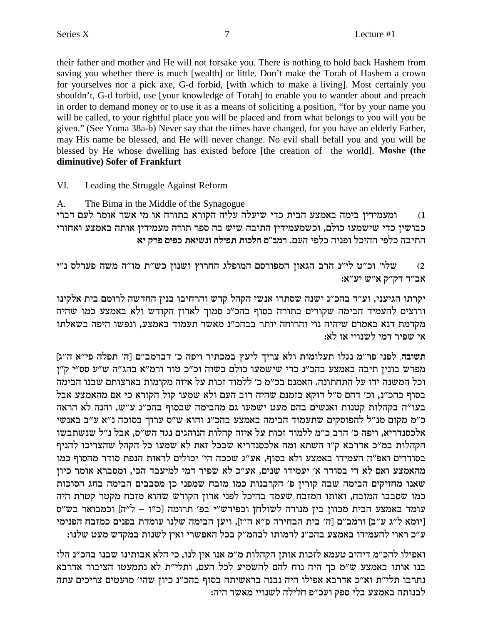their father and mother and He will not forsake you. There is nothing to hold back Hashem from saving you whether there is much [wealth] or little. Don't make the Torah of Hashem a crown for yourselves nor a pick axe, G-d forbid, [with which to make a living]. Most certainly you shouldn't, G-d forbid, use [your knowledge of Torah] to enable you to wander about and preach in order to demand money or to use it as a means of soliciting a position, "for by your name you will be called, to your rightful place you will be placed and from what belongs to you will you be given." (See Yoma 38a-b) Never say that the times have changed, for you have an elderly Father, may His name be blessed, and He will never change. No evil shall befall you and you will be blessed by He whose dwelling has existed before [the creation of the world]. Moshe (the diminutive) Sofer of Frankfurt

- VI. Leading the Struggle Against Reform
- The Bima in the Middle of the Synagogue  $A_{1}$

ומעמידין בימה באמצע הבית כדי שיעלה עליה הקורא בתורה או מי אשר אומר לעם דברי  $(1)$ כבושין כדי שישמעו כולם, וכשמעמידין התיבה שיש בה ספר תורה מעמידין אותה באמצע ואחורי התיבה כלפי ההיכל ופניה כלפי העם. רמב״ם הלכות תפילה ונשיאת כפים פרק יא

שלו' וכ"ט לי"נ הרב הגאון המפורסם המופלג החרוץ ושנון כש"ת מו"ה משה פערלס נ"י  $(2)$ אב"ד דק"ק א"ש יע"א:

יקרתו הגיעני, וע״ד בהכ״נ ישנה שסתרו אנשי הקהל קדש והרחיבו בנין החדשה לרומם בית אלקינו ורוצים להעמיד הבימה שקורים בתורה בסוף בהכ"נ סמוך לארון הקודש ולא באמצע כמו שהיה מקדמת דנא באמרם שיהיה נוי והרוחה יותר בבהכ"נ מאשר תעמוד באמצע, ונפשו היפה בשאלתו אי שפיר דמי לשנויי או לא:

תשובה, לפני פר"מ נגלו תעלומות ולא צריך ליעץ במכתיר ויפה כ' דברמב"ם [ה' תפלה פי"א ה"ג] מפרש בונין תיבה באמצע בהכ״נ כדי שישמעו כולם בשוה וכ״כ טור ורמ״א בהג״ה ש״ע סס״י ק״ז וכל המשנה ידו על התחתונה. האמנם בכ״מ כ׳ ללמוד זכות על איזה מקומות בארצותם שבנו הבימה בסוף בהכ״נ, וכ׳ דהם ס״ל דוקא בזמנם שהיה רוב העם ולא שמעו קול הקורא כי אם מהאמצע אבל בעו"ה בקהלות קטנות ואנשים בהם מעט ישמעו גם מהבימה שבסוף בהכ"נ ע"ש, והנה לא הראה כ״מ מקום מנ״ל להפוסקים שתעמוד הבימה באמצע בהכ״נ והוא ש״ס ערוך בסוכה נ״א ע״ב באנשי אלכסנדריא, ויפה כ׳ הרב כ״מ ללמוד זכות על איזה קהלות הנוהגים נגד הש״ס, אבל נ״ל שנשתבשו הקהלות במ״כ אדרבא ק״ו השתא ומה אלכסנדריא שבכל זאת לא שמעו כל הקהל שהצריכו להניף בסודרים ואפ״ה העמידו באמצע ולא בסוף, אע״ג שככה הי׳ יכולים לראות הנפת סודר מהסוף כמו מהאמצע ואם לא די בסודר א' יעמידו שנים, אע"כ לא שפיר דמי למיעבד הכי, ומסברא אומר כיון שאנו מחזיקים הבימה שבה קורין פ' הקרבנות כמו מזבח שמפני כן מסבבים הבימה בחג הסוכות כמו שסבבו המזבח, ואותו המזבח שעמד בהיכל לפני ארון הקודש שהוא מזבח מקטר קטרת היה עומד באמצע הבית מכוון בין מנורה לשולחן וכפירש"י בפ' תרומה [כ"ו – ל"ה] וכמבואר בש"ס [יומא ל״ג ע״ב] ורמב״ם [ה׳ בית הבחירה פ״א ה״ז], ויען הבימה שלנו עומדת בפנים כמזבח הפנימי ע״כ ראוי להעמידו באמצע בהכ״נ לדמותו לבהמ״ק בכל האפשרי ואיז לשנות במקדש מעט שלנו:

ואפילו להכ״מ דיהיב טעמא לזכות אותן הקהלות מ״מ אנו אין לנו, כי הלא אבותינו שבנו בהכ״נ הלז בנו אותו באמצע ש"מ כך היה נוח להם להשמיע לכל העם, ותלי"ת לא נתמעטו הציבור אדרבא נתרבו תלי״ת וא״כ אדרבא אפילו היה נבנה בראשיתה בסוף בהכ״נ כיון שהי׳ מועטים צריכים עתה לבנותה באמצע בלי ספק ועכ״פ חלילה לשנויי מאשר היה: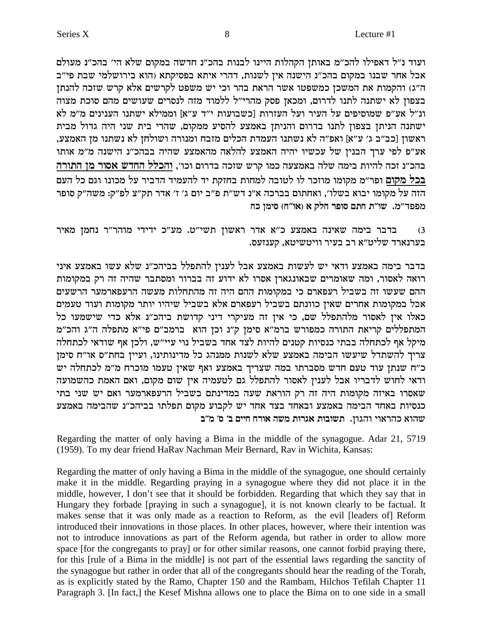ועוד נ"ל דאפילו להכ"מ באותן הקהלות היינו לבנות בהכ"נ חדשה במקום שלא הי' בהכ"נ מעולם אבל אחר שבנו במקום בהכ"נ הישנה אין לשנות, דהרי איתא בפסיקתא (הוא בירושלמי שבת פי"ב ה"ג) והקמות את המשכן כמשפטו אשר הראת בהר וכי יש משפט לקרשים אלא קרש שזכה להנתן בצפון לא ישתנה לתנו לדרום, ומכאן פסק מהרי"ל ללמוד מזה לנסרים שעושים מהם סוכת מצוה ונ״ל אע״פ שמוסיפים על העיר ועל העזרות [כשבועות י״ד ע״א] וממילא ישתנו הענינים מ״מ לא ישתנה הניתן בצפון לתנו בדרום והניתן באמצע להסיע ממקום, שהרי בית שני היה גדול מבית ראשון [כב״ב ג׳ ע״א] ואפ״ה לא נשתנו העמדת הכלים מזבח ומנורה ושולחן לא נשתנו מן האמצע, אע״פ לפי ערך הבנין של עכשיו יהיה האמצע להלאה מהאמצע שהיה בבהכ״נ הישנה מ״מ אותו בהכ״נ זכה להיות בימה שלה באמצעה כמו קרש שזכה בדרום וכו׳, <u>והכלל החדש אסור מן התורה</u> בכל מקום ופר״מ מקומו מוזכר לו לטובה למחות בחזקת יד להעמיד הדביר על מכונו וגם כל העם הזה על מקומו יבוא בשלו׳, ואחתום בברכה א״נ דש״ת פ״ב יום ג׳ ז׳ אדר תק״צ לפ״ק: משה״ק סופר מפפד"מ. שו"ת חתם סופר חלק א (או"ח) סימן כח

בדבר בימה שאינה באמצע כ"א אדר ראשון תשי"ט. מע"כ ידידי מוהר"ר נחמן מאיר  $(3)$ בערנארד שליט"א רב בעיר וויטשיטא, קענזעס.

בדבר בימה באמצע ודאי יש לעשות באמצע אבל לענין להתפלל בביהכ"נ שלא עשו באמצע איני רואה לאסור, ומה שאומרים שבאונגארן אסרו לא ידוע זה בברור ומסתבר שהיה זה רק במקומות ההם שעשו זה בשביל רעפארם כי במקומות ההם היה זה מהתחלות מעשה הרעפארמער הרשעים אבל במקומות אחרים שאין כוונתם בשביל רעפארם אלא בשביל שיהיו יותר מקומות ועוד טעמים כאלו אין לאסור מלהתפלל שם, כי אין זה מעיקרי דיני קדושת ביהכ"נ אלא כדי שישמעו כל המתפללים קריאת התורה כמפורש ברמ"א סימן ק"נ וכן הוא ברמב"ם פי"א מתפלה ה"ג והכ"מ מיקל אף לכתחלה בבתי כנסיות קטנים להיות לצד אחד בשביל נוי עיי"ש, ולכן אף שודאי לכתחלה צריך להשתדל שיעשו הבימה באמצע שלא לשנות ממנהג כל מדינותינו, ועיין בחת"ס או"ח סימן כ״ח שנתן עוד טעם חדש מסברתו במה שצריך באמצע ואף שאין טעמו מוכרח מ״מ לכתחלה יש ודאי לחוש לדבריו אבל לענין לאסור להתפלל גם לטעמיה אין שום מקום, ואם האמת כהשמועה שאסרו באיזה מקומות היה זה רק הוראת שעה במדינתם בשביל הרעפארמער ואם יש שני בתי כנסיות באחד הבימה באמצע ובאחד בצד אחד יש לקבוע מקום תפלתו בביהכ״נ שהבימה באמצע שהוא כהראוי והגון. תשובות אגרות משה אורח חיים ב' ס' מ"ב

Regarding the matter of only having a Bima in the middle of the synagogue. Adar 21, 5719 (1959). To my dear friend HaRav Nachman Meir Bernard, Rav in Wichita, Kansas:

Regarding the matter of only having a Bima in the middle of the synagogue, one should certainly make it in the middle. Regarding praying in a synagogue where they did not place it in the middle, however, I don't see that it should be forbidden. Regarding that which they say that in Hungary they forbade [praying in such a synagogue], it is not known clearly to be factual. It makes sense that it was only made as a reaction to Reform, as the evil [leaders of] Reform introduced their innovations in those places. In other places, however, where their intention was not to introduce innovations as part of the Reform agenda, but rather in order to allow more space [for the congregants to pray] or for other similar reasons, one cannot forbid praying there, for this [rule of a Bima in the middle] is not part of the essential laws regarding the sanctity of the synagogue but rather in order that all of the congregants should hear the reading of the Torah, as is explicitly stated by the Ramo, Chapter 150 and the Rambam, Hilchos Tefilah Chapter 11 Paragraph 3. [In fact,] the Kesef Mishna allows one to place the Bima on to one side in a small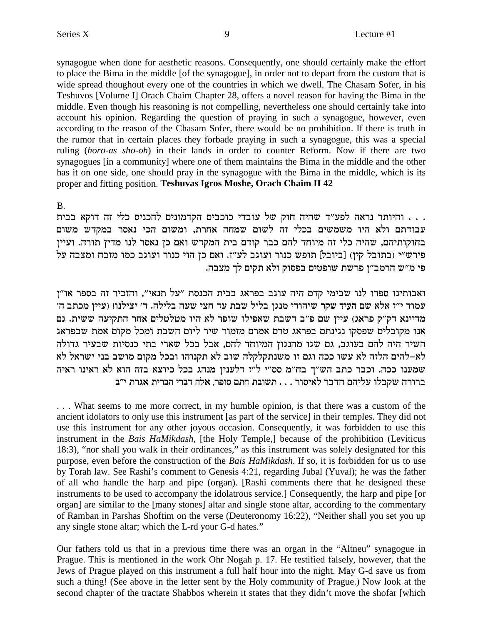synagogue when done for aesthetic reasons. Consequently, one should certainly make the effort to place the Bima in the middle [of the synagogue], in order not to depart from the custom that is wide spread thoughout every one of the countries in which we dwell. The Chasam Sofer, in his Teshuvos [Volume I] Orach Chaim Chapter 28, offers a novel reason for having the Bima in the middle. Even though his reasoning is not compelling, nevertheless one should certainly take into account his opinion. Regarding the question of praying in such a synagogue, however, even according to the reason of the Chasam Sofer, there would be no prohibition. If there is truth in the rumor that in certain places they forbade praying in such a synagogue, this was a special ruling (horo-as sho-oh) in their lands in order to counter Reform. Now if there are two synagogues [in a community] where one of them maintains the Bima in the middle and the other has it on one side, one should pray in the synagogue with the Bima in the middle, which is its proper and fitting position. Teshuvas Igros Moshe, Orach Chaim II 42

#### $B<sub>1</sub>$

. . . והיותר נראה לפע"ד שהיה חוק של עובדי כוכבים הקדמונים להכניס כלי זה דוקא בבית עבודתם ולא היו משמשים בכלי זה לשום שמחה אחרת, ומשום הכי נאסר במקדש משום בחוקותיהם, שהיה כלי זה מיוחד להם כבר קודם בית המקדש ואם כן נאסר לנו מדין תורה. ועיין פירש״י (בתובל קין) [ביובל] תופש כנור ועוגב לע״ז. ואם כן הוי כנור ועוגב כמו מזבח ומצבה על פי מ"ש הרמב"ן פרשת שופטים בפסוק ולא תקים לך מצבה.

ואבותינו ספרו לנו שבימי קדם היה עוגב בפראג בבית הכנסת "על תנאי", והזכיר זה בספר או"ן עמוד י"ז אלא שם העיד שקר שיהודי מנגן בליל שבת עד חצי שעה בלילה. ד' יצילנו! (עיין מכתב ה' מדיינא דק"ק פראג) עיין שם פ"ב דשבת שאפילו שופר לא היו מטלטלים אחר התקיעה ששית. גם אנו מקובלים שפסקו נגינתם בפראג טרם אמרם מזמור שיר ליום השבת ומכל מקום אמת שבפראג השיר היה להם בעוגב, גם שגו מהנגון המיוחד להם, אבל בכל שארי בתי כנסיות שבעיר גדולה לא–להים הלזה לא עשו ככה וגם זו משנתקלקלה שוב לא תקנוהו ובכל מקום מושב בני ישראל לא שמענו ככה. וכבר כתב הש"ך בח"מ סס"י ל"ז דלענין מנהג בכל כיוצא בזה הוא לא ראינו ראיה ברורה שקבלו עליהם הדבר לאיסור . . . תשובת חתם סופר, אלה דברי הברית אגרת י״ב

... What seems to me more correct, in my humble opinion, is that there was a custom of the ancient idolators to only use this instrument [as part of the service] in their temples. They did not use this instrument for any other joyous occasion. Consequently, it was forbidden to use this instrument in the Bais HaMikdash, [the Holy Temple,] because of the prohibition (Leviticus 18:3), "nor shall you walk in their ordinances," as this instrument was solely designated for this purpose, even before the construction of the Bais HaMikdash. If so, it is forbidden for us to use by Torah law. See Rashi's comment to Genesis 4:21, regarding Jubal (Yuval); he was the father of all who handle the harp and pipe (organ). [Rashi comments there that he designed these instruments to be used to accompany the idolatrous service.] Consequently, the harp and pipe [or organ] are similar to the [many stones] altar and single stone altar, according to the commentary of Ramban in Parshas Shoftim on the verse (Deuteronomy 16:22), "Neither shall you set you up any single stone altar; which the L-rd your G-d hates."

Our fathers told us that in a previous time there was an organ in the "Altneu" synagogue in Prague. This is mentioned in the work Ohr Nogah p. 17. He testified falsely, however, that the Jews of Prague played on this instrument a full half hour into the night. May G-d save us from such a thing! (See above in the letter sent by the Holy community of Prague.) Now look at the second chapter of the tractate Shabbos wherein it states that they didn't move the shofar [which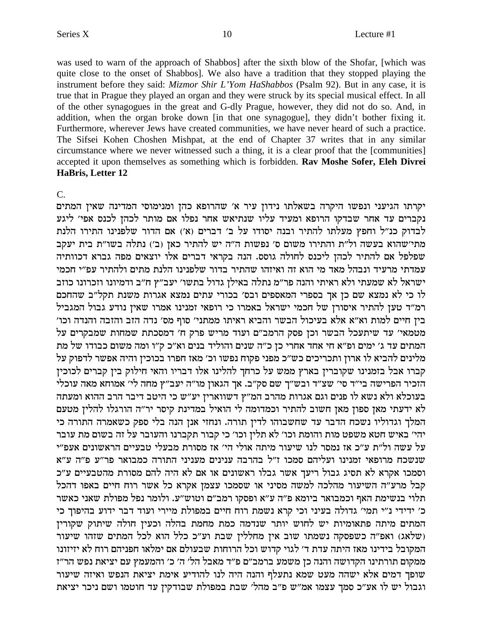יקרתו הגיעני ונפשו היקרה בשאלתו נידון עיר א' שהרופא כהן ומנימוסי המדינה שאין המתים נקברים עד אחר שבדקו הרופא ומעיד עליו שנתיאש אחר נפלו אם מותר לכהן לכנס אפי׳ ליגע לבדוק כנ״ל וחפץ מעלתו להתיר ובנה יסודו על ב׳ דברים (א׳) אם הדור שלפנינו התירו הלנת מתי'שהוא בעשה ול"ת והתירו משום ס' נפשות ה"ה יש להתיר כאן (ב') נתלה בשו"ת בית יעקב שפלפל אם להתיר לכהן ליכנס לחולה גוסס. הנה בקראי דברים אלו יוצאים מפה גברא דכוותיה עמדתי מרעיד ונבהל מאד מי הוא זה ואיזהו שהתיר בדור שלפנינו הלנת מתים ולהתיר עפ״י חכמי ישראל לא שמעתי ולא ראיתי והנה פר״מ נתלה באילן גדול בתשו׳ יעב״ץ ח״ב ודמיונו וזכרונו כוזב לו כי לא נמצא שם כן אך בספרי המאספים ובס׳ בכורי עתים נמצא אגרות משנת תקל"ב שהחכם רמ״ד טען להתיר איסורן של חכמי ישראל באמרו כי רופאי זמנינו אמרו שאין נודע גבול המגביל בין חיים למות וא״א אלא בעיכול הבשר והביא ראיתו ממתני׳ סוף מס׳ נדה הזב והזבה והנדה וכו׳ .<br>מטמאי׳ עד שיתעכל הבשר וכן פסק הרמב"ם ועוד מריש פרק ח' דמסכתת שמחות שמבקרים על המתים עד ג' ימים ופ"א חי אחד אחרי כן כ"ה שנים והוליד בנים וא"כ ק"ו ומה משום כבודו של מת מלינים להביא לו ארון ותכריכים כש״כ מפני פקוח נפשו וכ׳ מאז חפרו בכוכין והיה אפשר לדפוק על קברו אבל בזמנינו שקוברין בארץ ממש על כרחך להלינו אלו דבריו והאי חילוק בין קברים לכוכין הזכיר הפרישה בי"ד סי' שצ"ד ובש"ך שם סק"ב. אך הגאון מו"ה יעב"ץ מחה לי' אמוחא מאה עוכלי בעוכלא ולא נשא לו פנים וגם אגרות מהרב המ"ץ דשווארין יע"ש כי היטב דיבר הרב ההוא ומעתה לא ידעתי מאן ספון מאן חשוב להתיר וכמדומה לי הואיל במדינת קיסר יר"ה הורגלו להלין מטעם .<br>המלך וגדוליו נשכח הדבר עד שחשבוהו לדין תורה. ונחזי אנן הנה בלי ספק כשאמרה התורה כי יהי׳ באיש חטא משפט מות והומת וכו׳ לא תלין וכו׳ כי קבור תקברנו והעובר על זה בשום מת עובר על עשה ול״ת ע״כ אז נמסר לנו שיעור מיתה אולי הי׳ אז מסורת מבעלי טבעיים הראשונים אעפ״י שנשכח מרופאי זמנינו ועליהם סמכו ז"ל בהרבה ענינים מעניני התורה כמבואר פר"ע פ"ה ע"א וסמכו אקרא לא תסיג גבול ריעך אשר גבלו ראשונים או אם לא היה להם מסורת מהטבעיים ע"כ קבל מרע"ה השיעור מהלכה למשה מסיני או שסמכו עצמן אקרא כל אשר רוח חיים באפו דהכל תלוי בנשימת האף וכמבואר ביומא פ"ה ע"א ופסקו רמב"ם וטוש"ע. ולומר נפל מפולת שאני כאשר כ׳ ידידי נ״י תמי׳ גדולה בעיני וכי קרא נשמת רוח חיים במפולת מיירי ועוד דבר ידוע בהיפוך כי המתים מיתה פתאומיות יש לחוש יותר שנדמה כמת מחמת בהלה וכעין חולה שיתוק שקורין ושלאג) ואפ״ה כשפסקה נשמתו שוב אין מחללין שבת וע״כ כלל הוא לכל המתים שזהו שיעור המקובל בידינו מאז היתה עדת ד׳ לגוי קדוש וכל הרוחות שבעולם אם ימלאו חפניהם רוח לא יזיזונו ממקום תורתינו הקדושה והנה כן משמע ברמב״ם פ״ד מאבל הל׳ ה׳ כ׳ והמעמץ עם יציאת נפש הר״ז שופך דמים אלא ישהה מעט שמא נתעלף והנה היה לנו להודיע אימת יציאת הנפש ואיזה שיעור וגבול יש לו אע״כ סמך עצמו אמ״ש פ״ב מהל׳ שבת במפולת שבודקין עד חוטמו ושם ניכר יציאת

#### HaBris, Letter 12

 $\mathsf{C}$ 

was used to warn of the approach of Shabbos] after the sixth blow of the Shofar, [which was quite close to the onset of Shabbos]. We also have a tradition that they stopped playing the instrument before they said: Mizmor Shir L'Yom HaShabbos (Psalm 92). But in any case, it is true that in Prague they played an organ and they were struck by its special musical effect. In all of the other synagogues in the great and G-dly Prague, however, they did not do so. And, in addition, when the organ broke down [in that one synagogue], they didn't bother fixing it. Furthermore, wherever Jews have created communities, we have never heard of such a practice. The Sifsei Kohen Choshen Mishpat, at the end of Chapter 37 writes that in any similar circumstance where we never witnessed such a thing, it is a clear proof that the [communities] accepted it upon themselves as something which is forbidden. Rav Moshe Sofer, Eleh Divrei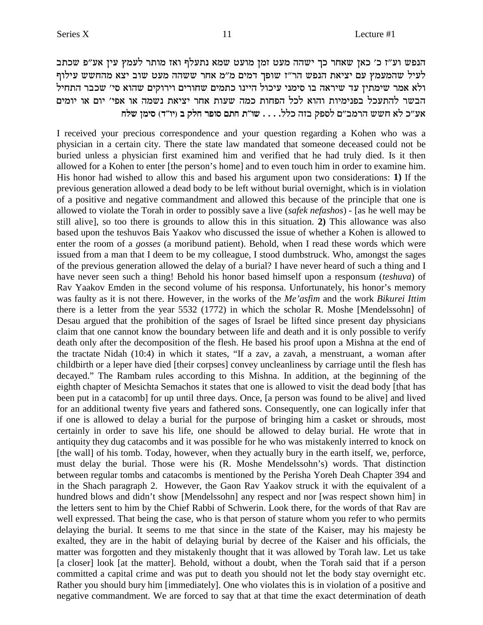הנפש וע"ז כ' כאן שאחר כך ישהה מעט זמן מועט שמא נתעלף ואז מותר לעמץ עין אע"פ שכתב לעיל שהמעמץ עם יציאת הנפש הר"ז שופך דמים מ"מ אחר ששהה מעט שוב יצא מהחשש עילוף ולא אמר שימתין עד שיראה בו סימני עיכול היינו כתמים שחורים וירוקים שהוא סי׳ שכבר התחיל הבשר להתעכל בפנימיות והוא לכל הפחות כמה שעות אחר יציאת נשמה או אפי׳ יום או יומים אע״כ לא חשש הרמב״ם לספק בזה כלל. . . . שו״ת חתם סופר חלק ב (יו״ד) סימן שלח

I received your precious correspondence and your question regarding a Kohen who was a physician in a certain city. There the state law mandated that someone deceased could not be buried unless a physician first examined him and verified that he had truly died. Is it then allowed for a Kohen to enter [the person's home] and to even touch him in order to examine him. His honor had wished to allow this and based his argument upon two considerations: 1) If the previous generation allowed a dead body to be left without burial overnight, which is in violation of a positive and negative commandment and allowed this because of the principle that one is allowed to violate the Torah in order to possibly save a live (safek nefashos) - [as he well may be still alivel, so too there is grounds to allow this in this situation. 2) This allowance was also based upon the teshuvos Bais Yaakov who discussed the issue of whether a Kohen is allowed to enter the room of a *gosses* (a moribund patient). Behold, when I read these words which were issued from a man that I deem to be my colleague, I stood dumbstruck. Who, amongst the sages of the previous generation allowed the delay of a burial? I have never heard of such a thing and I have never seen such a thing! Behold his honor based himself upon a responsum *(teshuva)* of Rav Yaakov Emden in the second volume of his responsa. Unfortunately, his honor's memory was faulty as it is not there. However, in the works of the Me'asfim and the work Bikurei Ittim there is a letter from the year 5532 (1772) in which the scholar R. Moshe [Mendelssohn] of Desau argued that the prohibition of the sages of Israel be lifted since present day physicians claim that one cannot know the boundary between life and death and it is only possible to verify death only after the decomposition of the flesh. He based his proof upon a Mishna at the end of the tractate Nidah (10:4) in which it states, "If a zav, a zavah, a menstruant, a woman after childbirth or a leper have died [their corpses] convey uncleanliness by carriage until the flesh has decayed." The Rambam rules according to this Mishna. In addition, at the beginning of the eighth chapter of Mesichta Semachos it states that one is allowed to visit the dead body [that has been put in a catacomb] for up until three days. Once, [a person was found to be alive] and lived for an additional twenty five years and fathered sons. Consequently, one can logically infer that if one is allowed to delay a burial for the purpose of bringing him a casket or shrouds, most certainly in order to save his life, one should be allowed to delay burial. He wrote that in antiquity they dug catacombs and it was possible for he who was mistakenly interred to knock on [the wall] of his tomb. Today, however, when they actually bury in the earth itself, we, perforce, must delay the burial. Those were his (R. Moshe Mendelssohn's) words. That distinction between regular tombs and catacombs is mentioned by the Perisha Yoreh Deah Chapter 394 and in the Shach paragraph 2. However, the Gaon Rav Yaakov struck it with the equivalent of a hundred blows and didn't show [Mendelssohn] any respect and nor [was respect shown him] in the letters sent to him by the Chief Rabbi of Schwerin. Look there, for the words of that Rav are well expressed. That being the case, who is that person of stature whom you refer to who permits delaying the burial. It seems to me that since in the state of the Kaiser, may his majesty be exalted, they are in the habit of delaying burial by decree of the Kaiser and his officials, the matter was forgotten and they mistakenly thought that it was allowed by Torah law. Let us take [a closer] look [at the matter]. Behold, without a doubt, when the Torah said that if a person committed a capital crime and was put to death you should not let the body stay overnight etc. Rather you should bury him [immediately]. One who violates this is in violation of a positive and negative commandment. We are forced to say that at that time the exact determination of death

11